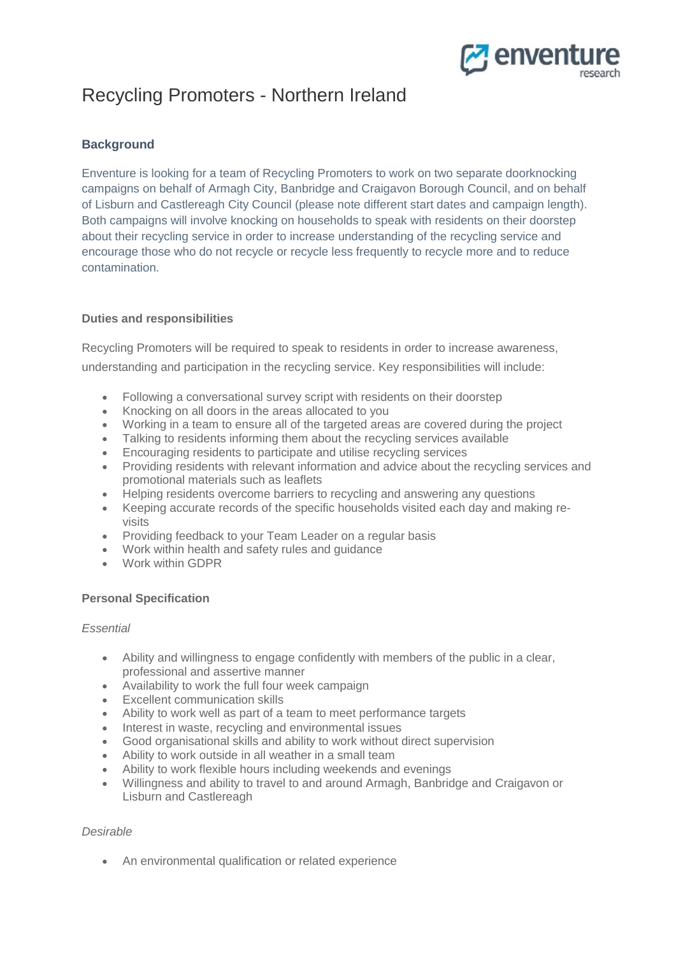

# Recycling Promoters - Northern Ireland

# **Background**

Enventure is looking for a team of Recycling Promoters to work on two separate doorknocking campaigns on behalf of Armagh City, Banbridge and Craigavon Borough Council, and on behalf of Lisburn and Castlereagh City Council (please note different start dates and campaign length). Both campaigns will involve knocking on households to speak with residents on their doorstep about their recycling service in order to increase understanding of the recycling service and encourage those who do not recycle or recycle less frequently to recycle more and to reduce contamination.

## **Duties and responsibilities**

Recycling Promoters will be required to speak to residents in order to increase awareness, understanding and participation in the recycling service. Key responsibilities will include:

- Following a conversational survey script with residents on their doorstep
- Knocking on all doors in the areas allocated to you
- Working in a team to ensure all of the targeted areas are covered during the project
- Talking to residents informing them about the recycling services available
- Encouraging residents to participate and utilise recycling services
- Providing residents with relevant information and advice about the recycling services and promotional materials such as leaflets
- Helping residents overcome barriers to recycling and answering any questions
- Keeping accurate records of the specific households visited each day and making revisits
- Providing feedback to your Team Leader on a regular basis
- Work within health and safety rules and guidance
- Work within GDPR

#### **Personal Specification**

#### *Essential*

- Ability and willingness to engage confidently with members of the public in a clear, professional and assertive manner
- Availability to work the full four week campaign
- Excellent communication skills
- Ability to work well as part of a team to meet performance targets
- Interest in waste, recycling and environmental issues
- Good organisational skills and ability to work without direct supervision
- Ability to work outside in all weather in a small team
- Ability to work flexible hours including weekends and evenings
- Willingness and ability to travel to and around Armagh, Banbridge and Craigavon or Lisburn and Castlereagh

#### *Desirable*

An environmental qualification or related experience